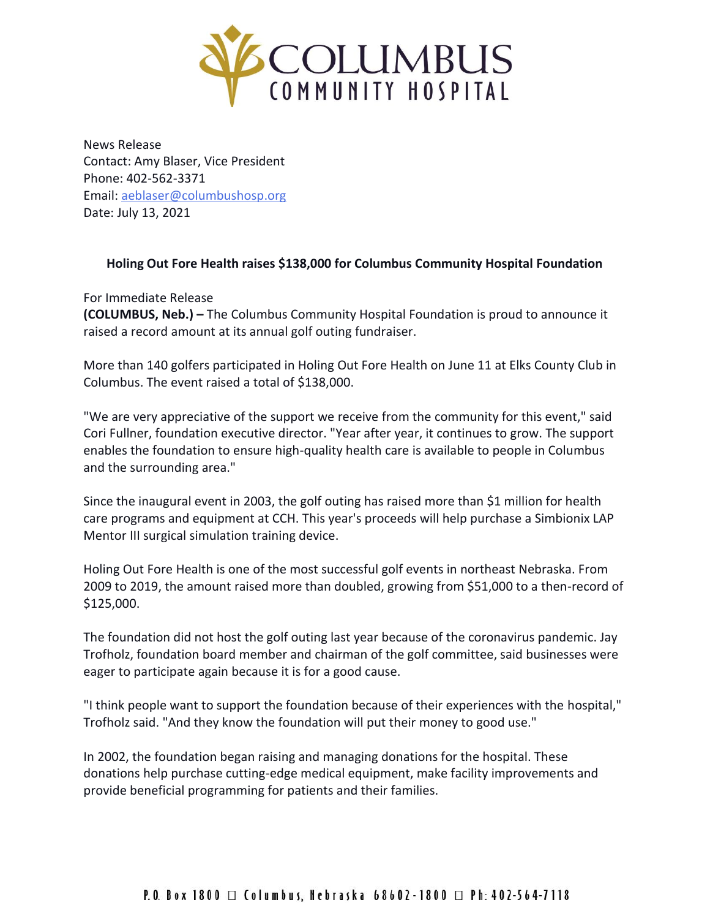

News Release Contact: Amy Blaser, Vice President Phone: 402-562-3371 Email: [aeblaser@columbushosp.org](mailto:aeblaser@columbushosp.org) Date: July 13, 2021

## **Holing Out Fore Health raises \$138,000 for Columbus Community Hospital Foundation**

For Immediate Release **(COLUMBUS, Neb.) –** The Columbus Community Hospital Foundation is proud to announce it raised a record amount at its annual golf outing fundraiser.

More than 140 golfers participated in Holing Out Fore Health on June 11 at Elks County Club in Columbus. The event raised a total of \$138,000.

"We are very appreciative of the support we receive from the community for this event," said Cori Fullner, foundation executive director. "Year after year, it continues to grow. The support enables the foundation to ensure high-quality health care is available to people in Columbus and the surrounding area."

Since the inaugural event in 2003, the golf outing has raised more than \$1 million for health care programs and equipment at CCH. This year's proceeds will help purchase a Simbionix LAP Mentor III surgical simulation training device.

Holing Out Fore Health is one of the most successful golf events in northeast Nebraska. From 2009 to 2019, the amount raised more than doubled, growing from \$51,000 to a then-record of \$125,000.

The foundation did not host the golf outing last year because of the coronavirus pandemic. Jay Trofholz, foundation board member and chairman of the golf committee, said businesses were eager to participate again because it is for a good cause.

"I think people want to support the foundation because of their experiences with the hospital," Trofholz said. "And they know the foundation will put their money to good use."

In 2002, the foundation began raising and managing donations for the hospital. These donations help purchase cutting-edge medical equipment, make facility improvements and provide beneficial programming for patients and their families.